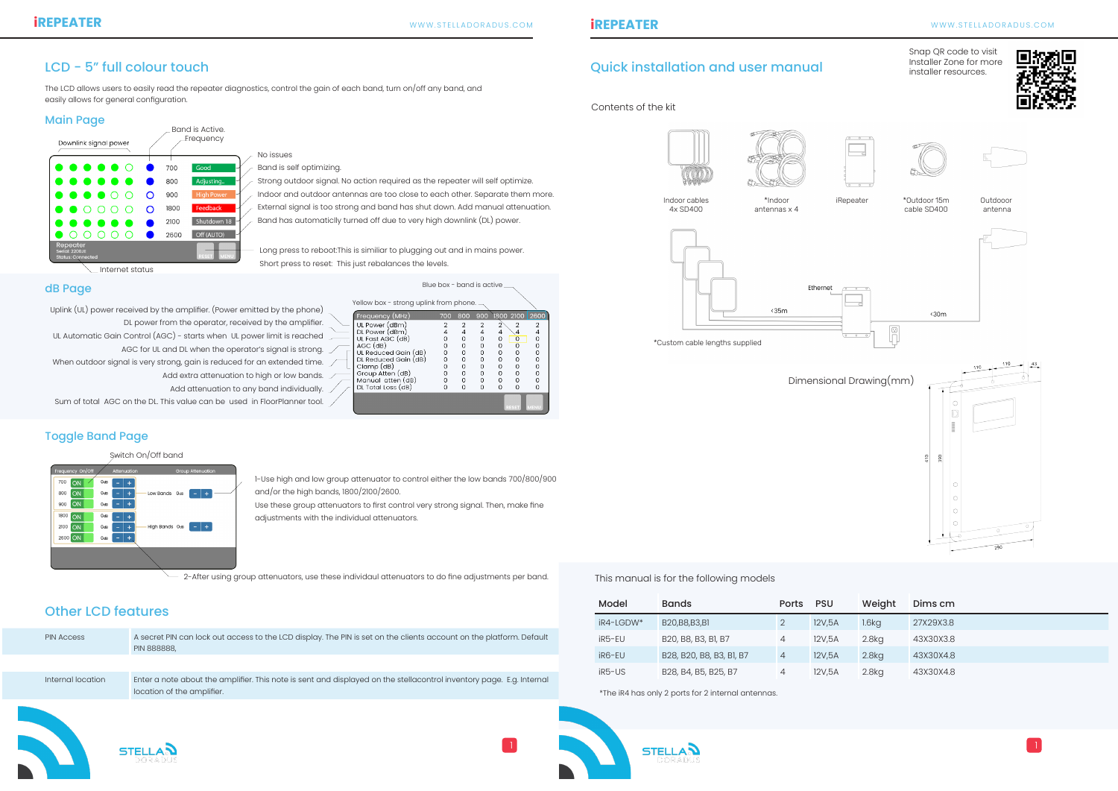

Contents of the kit

Dimensional Drawing(mm)



Snap QR code to visit Installer Zone for more installer resources.





This manual is for the following models

The LCD allows users to easily read the repeater diagnostics, control the gain of each band, turn on/off any band, and easily allows for general configuration.

Blue box - band is active

## LCD - 5" full colour touch and user manual colour touch and user manual quick installation and user manual

\*The iR4 has only 2 ports for 2 internal antennas.

#### dB Page

#### Main Page

- $\angle$  Strong outdoor signal. No action required as the repeater will self optimize.
- Indoor and outdoor antennas are too close to each other. Separate them more.
- External signal is too strong and band has shut down. Add manual attenuation.
- Band has automaticlly turned off due to very high downlink (DL) power.

Long press to reboot:This is similiar to plugging out and in mains power. Short press to reset: This just rebalances the levels.

| Downlink signal power                                  |   |      | Band is Active.<br>Frequency |
|--------------------------------------------------------|---|------|------------------------------|
|                                                        |   | 700  | Good                         |
|                                                        |   | 800  | Adjusting                    |
|                                                        | O | 900  | <b>High Power</b>            |
|                                                        | O | 1800 | Feedback                     |
|                                                        |   | 2100 | Shutdown 18                  |
|                                                        |   | 2600 | Off (AUTO)                   |
| Repeater<br>Serial: 2200JE<br><b>Status: Connected</b> |   |      | <b>MENU</b><br><b>RESET</b>  |
| Internet status                                        |   |      |                              |

 $\angle$  No issues  $\angle$  Band is self optimizing.

Uplink (UL) power received by the amplifier. (Power emitted by the phone) DL power from the operator, received by the amplifier.

- UL Automatic Gain Control (AGC) starts when UL power limit is reached
	- AGC for UL and DL when the operator's signal is strong.  $\angle$
- When outdoor signal is very strong, gain is reduced for an extended time.  $\mathcal D$ 
	- Add extra attenuation to high or low bands.
	- Add attenuation to any band individually.
- Sum of total AGC on the DL. This value can be used in FloorPlanner tool.

#### Yellow box - strong uplink from phone. Frequency (MHz UL Power (dBm DL Power (dBm)<br>UL Fast AGC (dB)  $\overline{4}$  $\overline{0}$  $\Omega$ AGC (dB)  $\overline{0}$ UL Reduced Gain (dB)<br>DL Reduced Gain (dB)  $\Omega$  $\Omega$  $\Omega$  $\Omega$  $\Omega$  $\Omega$  $\Omega$  $\Omega$ Clamp (dB) Group Atten (dB)<br>Manual atten (dB)  $\overline{0}$  $\Omega$  $\Omega$  $\Omega$  $\overline{0}$  $\mathsf{O}\xspace$  $\circ$  $\circ$  $\circ$ DL Total Loss (dB)  $\Omega$  $\Omega$  $\Omega$  $\Omega$  $\Omega$

Outdooor antenna



 $\langle 30m$ 

\*Outdoor 15m cable SD400





\*Custom cable lengths supplied

| <b>PIN Access</b> | A secret PIN can lock out access to the LCD display. The PIN is set on the clients account on the platform. Default<br><b>PIN 888888,</b>          |  |
|-------------------|----------------------------------------------------------------------------------------------------------------------------------------------------|--|
|                   |                                                                                                                                                    |  |
| Internal location | Enter a note about the amplifier. This note is sent and displayed on the stellacontrol inventory page. E.g. Internal<br>location of the amplifier. |  |
|                   |                                                                                                                                                    |  |

## Other LCD features

## Toggle Band Page

| Model     | <b>Bands</b>             | <b>Ports</b>   | <b>PSU</b> | Weight            | Dims cm   |
|-----------|--------------------------|----------------|------------|-------------------|-----------|
| iR4-LGDW* | B20, B8, B3, B1          |                | 12V,5A     | $1.6$ kg          | 27X29X3.8 |
| iR5-EU    | B20, B8, B3, B1, B7      | 4              | 12V,5A     | 2.8kg             | 43X30X3.8 |
| iR6-EU    | B28, B20, B8, B3, B1, B7 | $\overline{4}$ | 12V,5A     | 2.8 <sub>kq</sub> | 43X30X4.8 |
| iR5-US    | B28, B4, B5, B25, B7     | 4              | 12V,5A     | 2.8kg             | 43X30X4.8 |

1-Use high and low group attenuator to control either the low bands 700/800/900 and/or the high bands, 1800/2100/2600.

Use these group attenuators to first control very strong signal. Then, make fine adjustments with the individual attenuators.

2-After using group attenuators, use these individaul attenuators to do fine adjustments per band.

Switch On/Off band



**STELLAN**